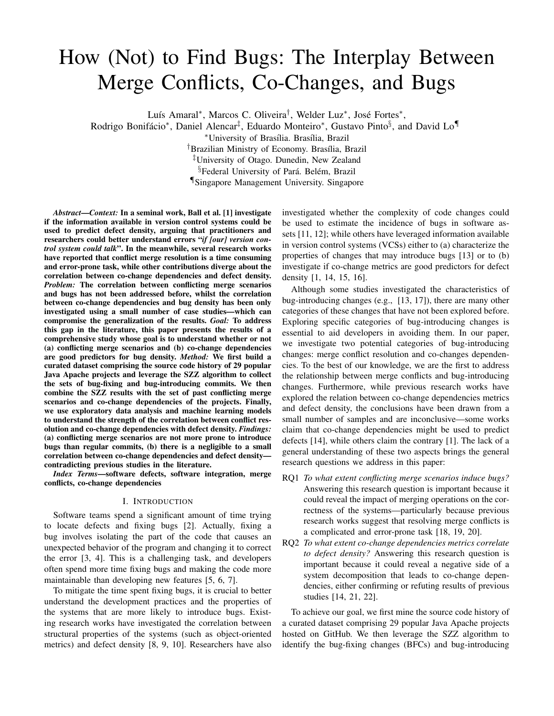# How (Not) to Find Bugs: The Interplay Between Merge Conflicts, Co-Changes, and Bugs

Luís Amaral\*, Marcos C. Oliveira<sup>†</sup>, Welder Luz<sup>\*</sup>, José Fortes<sup>\*</sup>,

Rodrigo Bonifácio\*, Daniel Alencar<sup>‡</sup>, Eduardo Monteiro\*, Gustavo Pinto§, and David Lo¶

\*University of Brasília. Brasília, Brazil

<sup>†</sup>Brazilian Ministry of Economy. Brasília, Brazil

‡University of Otago. Dunedin, New Zealand

<sup>§</sup>Federal University of Pará. Belém, Brazil

¶Singapore Management University. Singapore

*Abstract*—*Context:* In a seminal work, Ball et al. [1] investigate if the information available in version control systems could be used to predict defect density, arguing that practitioners and researchers could better understand errors "*if [our] version control system could talk*". In the meanwhile, several research works have reported that conflict merge resolution is a time consuming and error-prone task, while other contributions diverge about the correlation between co-change dependencies and defect density. *Problem:* The correlation between conflicting merge scenarios and bugs has not been addressed before, whilst the correlation between co-change dependencies and bug density has been only investigated using a small number of case studies—which can compromise the generalization of the results. *Goal:* To address this gap in the literature, this paper presents the results of a comprehensive study whose goal is to understand whether or not (a) conflicting merge scenarios and (b) co-change dependencies are good predictors for bug density. *Method:* We first build a curated dataset comprising the source code history of 29 popular Java Apache projects and leverage the SZZ algorithm to collect the sets of bug-fixing and bug-introducing commits. We then combine the SZZ results with the set of past conflicting merge scenarios and co-change dependencies of the projects. Finally, we use exploratory data analysis and machine learning models to understand the strength of the correlation between conflict resolution and co-change dependencies with defect density. *Findings:* (a) conflicting merge scenarios are not more prone to introduce bugs than regular commits, (b) there is a negligible to a small correlation between co-change dependencies and defect density contradicting previous studies in the literature.

*Index Terms*—software defects, software integration, merge conflicts, co-change dependencies

## I. INTRODUCTION

Software teams spend a significant amount of time trying to locate defects and fixing bugs [2]. Actually, fixing a bug involves isolating the part of the code that causes an unexpected behavior of the program and changing it to correct the error [3, 4]. This is a challenging task, and developers often spend more time fixing bugs and making the code more maintainable than developing new features [5, 6, 7].

To mitigate the time spent fixing bugs, it is crucial to better understand the development practices and the properties of the systems that are more likely to introduce bugs. Existing research works have investigated the correlation between structural properties of the systems (such as object-oriented metrics) and defect density [8, 9, 10]. Researchers have also

investigated whether the complexity of code changes could be used to estimate the incidence of bugs in software assets [11, 12]; while others have leveraged information available in version control systems (VCSs) either to (a) characterize the properties of changes that may introduce bugs [13] or to (b) investigate if co-change metrics are good predictors for defect density [1, 14, 15, 16].

Although some studies investigated the characteristics of bug-introducing changes (e.g., [13, 17]), there are many other categories of these changes that have not been explored before. Exploring specific categories of bug-introducing changes is essential to aid developers in avoiding them. In our paper, we investigate two potential categories of bug-introducing changes: merge conflict resolution and co-changes dependencies. To the best of our knowledge, we are the first to address the relationship between merge conflicts and bug-introducing changes. Furthermore, while previous research works have explored the relation between co-change dependencies metrics and defect density, the conclusions have been drawn from a small number of samples and are inconclusive—some works claim that co-change dependencies might be used to predict defects [14], while others claim the contrary [1]. The lack of a general understanding of these two aspects brings the general research questions we address in this paper:

- RQ1 *To what extent conflicting merge scenarios induce bugs?* Answering this research question is important because it could reveal the impact of merging operations on the correctness of the systems—particularly because previous research works suggest that resolving merge conflicts is a complicated and error-prone task [18, 19, 20].
- RQ2 *To what extent co-change dependencies metrics correlate to defect density?* Answering this research question is important because it could reveal a negative side of a system decomposition that leads to co-change dependencies, either confirming or refuting results of previous studies [14, 21, 22].

To achieve our goal, we first mine the source code history of a curated dataset comprising 29 popular Java Apache projects hosted on GitHub. We then leverage the SZZ algorithm to identify the bug-fixing changes (BFCs) and bug-introducing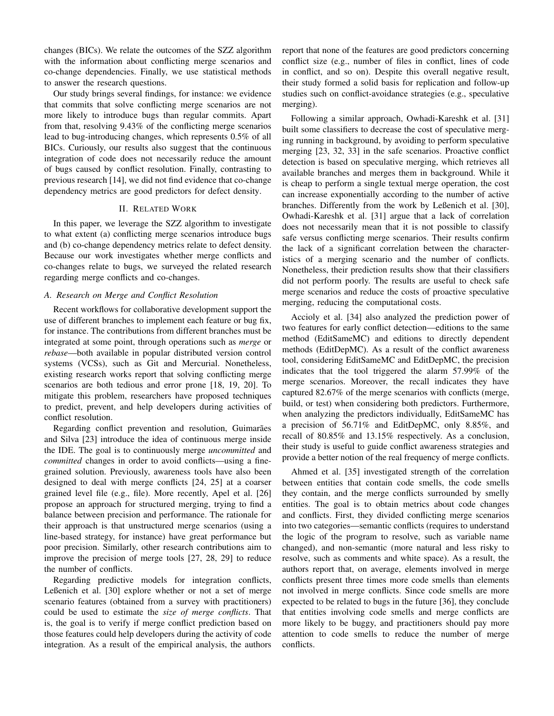changes (BICs). We relate the outcomes of the SZZ algorithm with the information about conflicting merge scenarios and co-change dependencies. Finally, we use statistical methods to answer the research questions.

Our study brings several findings, for instance: we evidence that commits that solve conflicting merge scenarios are not more likely to introduce bugs than regular commits. Apart from that, resolving 9.43% of the conflicting merge scenarios lead to bug-introducing changes, which represents 0.5% of all BICs. Curiously, our results also suggest that the continuous integration of code does not necessarily reduce the amount of bugs caused by conflict resolution. Finally, contrasting to previous research [14], we did not find evidence that co-change dependency metrics are good predictors for defect density.

# II. RELATED WORK

In this paper, we leverage the SZZ algorithm to investigate to what extent (a) conflicting merge scenarios introduce bugs and (b) co-change dependency metrics relate to defect density. Because our work investigates whether merge conflicts and co-changes relate to bugs, we surveyed the related research regarding merge conflicts and co-changes.

#### *A. Research on Merge and Conflict Resolution*

Recent workflows for collaborative development support the use of different branches to implement each feature or bug fix, for instance. The contributions from different branches must be integrated at some point, through operations such as *merge* or *rebase*—both available in popular distributed version control systems (VCSs), such as Git and Mercurial. Nonetheless, existing research works report that solving conflicting merge scenarios are both tedious and error prone [18, 19, 20]. To mitigate this problem, researchers have proposed techniques to predict, prevent, and help developers during activities of conflict resolution.

Regarding conflict prevention and resolution, Guimarães and Silva [23] introduce the idea of continuous merge inside the IDE. The goal is to continuously merge *uncommitted* and *committed* changes in order to avoid conflicts—using a finegrained solution. Previously, awareness tools have also been designed to deal with merge conflicts [24, 25] at a coarser grained level file (e.g., file). More recently, Apel et al. [26] propose an approach for structured merging, trying to find a balance between precision and performance. The rationale for their approach is that unstructured merge scenarios (using a line-based strategy, for instance) have great performance but poor precision. Similarly, other research contributions aim to improve the precision of merge tools [27, 28, 29] to reduce the number of conflicts.

Regarding predictive models for integration conflicts, Leßenich et al. [30] explore whether or not a set of merge scenario features (obtained from a survey with practitioners) could be used to estimate the *size of merge conflicts*. That is, the goal is to verify if merge conflict prediction based on those features could help developers during the activity of code integration. As a result of the empirical analysis, the authors

report that none of the features are good predictors concerning conflict size (e.g., number of files in conflict, lines of code in conflict, and so on). Despite this overall negative result, their study formed a solid basis for replication and follow-up studies such on conflict-avoidance strategies (e.g., speculative merging).

Following a similar approach, Owhadi-Kareshk et al. [31] built some classifiers to decrease the cost of speculative merging running in background, by avoiding to perform speculative merging [23, 32, 33] in the safe scenarios. Proactive conflict detection is based on speculative merging, which retrieves all available branches and merges them in background. While it is cheap to perform a single textual merge operation, the cost can increase exponentially according to the number of active branches. Differently from the work by Leßenich et al. [30], Owhadi-Kareshk et al. [31] argue that a lack of correlation does not necessarily mean that it is not possible to classify safe versus conflicting merge scenarios. Their results confirm the lack of a significant correlation between the characteristics of a merging scenario and the number of conflicts. Nonetheless, their prediction results show that their classifiers did not perform poorly. The results are useful to check safe merge scenarios and reduce the costs of proactive speculative merging, reducing the computational costs.

Accioly et al. [34] also analyzed the prediction power of two features for early conflict detection—editions to the same method (EditSameMC) and editions to directly dependent methods (EditDepMC). As a result of the conflict awareness tool, considering EditSameMC and EditDepMC, the precision indicates that the tool triggered the alarm 57.99% of the merge scenarios. Moreover, the recall indicates they have captured 82.67% of the merge scenarios with conflicts (merge, build, or test) when considering both predictors. Furthermore, when analyzing the predictors individually, EditSameMC has a precision of 56.71% and EditDepMC, only 8.85%, and recall of 80.85% and 13.15% respectively. As a conclusion, their study is useful to guide conflict awareness strategies and provide a better notion of the real frequency of merge conflicts.

Ahmed et al. [35] investigated strength of the correlation between entities that contain code smells, the code smells they contain, and the merge conflicts surrounded by smelly entities. The goal is to obtain metrics about code changes and conflicts. First, they divided conflicting merge scenarios into two categories—semantic conflicts (requires to understand the logic of the program to resolve, such as variable name changed), and non-semantic (more natural and less risky to resolve, such as comments and white space). As a result, the authors report that, on average, elements involved in merge conflicts present three times more code smells than elements not involved in merge conflicts. Since code smells are more expected to be related to bugs in the future [36], they conclude that entities involving code smells and merge conflicts are more likely to be buggy, and practitioners should pay more attention to code smells to reduce the number of merge conflicts.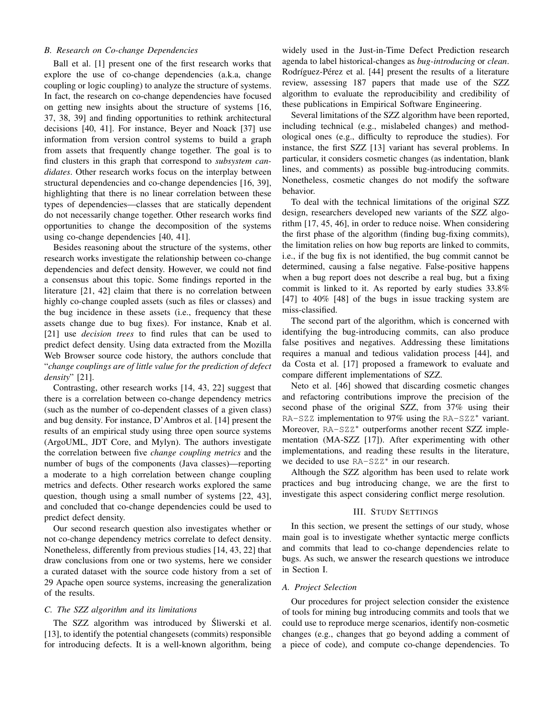# *B. Research on Co-change Dependencies*

Ball et al. [1] present one of the first research works that explore the use of co-change dependencies (a.k.a, change coupling or logic coupling) to analyze the structure of systems. In fact, the research on co-change dependencies have focused on getting new insights about the structure of systems [16, 37, 38, 39] and finding opportunities to rethink architectural decisions [40, 41]. For instance, Beyer and Noack [37] use information from version control systems to build a graph from assets that frequently change together. The goal is to find clusters in this graph that correspond to *subsystem candidates*. Other research works focus on the interplay between structural dependencies and co-change dependencies [16, 39], highlighting that there is no linear correlation between these types of dependencies—classes that are statically dependent do not necessarily change together. Other research works find opportunities to change the decomposition of the systems using co-change dependencies [40, 41].

Besides reasoning about the structure of the systems, other research works investigate the relationship between co-change dependencies and defect density. However, we could not find a consensus about this topic. Some findings reported in the literature [21, 42] claim that there is no correlation between highly co-change coupled assets (such as files or classes) and the bug incidence in these assets (i.e., frequency that these assets change due to bug fixes). For instance, Knab et al. [21] use *decision trees* to find rules that can be used to predict defect density. Using data extracted from the Mozilla Web Browser source code history, the authors conclude that "*change couplings are of little value for the prediction of defect density*" [21].

Contrasting, other research works [14, 43, 22] suggest that there is a correlation between co-change dependency metrics (such as the number of co-dependent classes of a given class) and bug density. For instance, D'Ambros et al. [14] present the results of an empirical study using three open source systems (ArgoUML, JDT Core, and Mylyn). The authors investigate the correlation between five *change coupling metrics* and the number of bugs of the components (Java classes)—reporting a moderate to a high correlation between change coupling metrics and defects. Other research works explored the same question, though using a small number of systems [22, 43], and concluded that co-change dependencies could be used to predict defect density.

Our second research question also investigates whether or not co-change dependency metrics correlate to defect density. Nonetheless, differently from previous studies [14, 43, 22] that draw conclusions from one or two systems, here we consider a curated dataset with the source code history from a set of 29 Apache open source systems, increasing the generalization of the results.

# *C. The SZZ algorithm and its limitations*

The SZZ algorithm was introduced by Sliwerski et al. [13], to identify the potential changesets (commits) responsible for introducing defects. It is a well-known algorithm, being

widely used in the Just-in-Time Defect Prediction research agenda to label historical-changes as *bug-introducing* or *clean*. Rodríguez-Pérez et al. [44] present the results of a literature review, assessing 187 papers that made use of the SZZ algorithm to evaluate the reproducibility and credibility of these publications in Empirical Software Engineering.

Several limitations of the SZZ algorithm have been reported, including technical (e.g., mislabeled changes) and methodological ones (e.g., difficulty to reproduce the studies). For instance, the first SZZ [13] variant has several problems. In particular, it considers cosmetic changes (as indentation, blank lines, and comments) as possible bug-introducing commits. Nonetheless, cosmetic changes do not modify the software behavior.

To deal with the technical limitations of the original SZZ design, researchers developed new variants of the SZZ algorithm [17, 45, 46], in order to reduce noise. When considering the first phase of the algorithm (finding bug-fixing commits), the limitation relies on how bug reports are linked to commits, i.e., if the bug fix is not identified, the bug commit cannot be determined, causing a false negative. False-positive happens when a bug report does not describe a real bug, but a fixing commit is linked to it. As reported by early studies 33.8% [47] to 40% [48] of the bugs in issue tracking system are miss-classified.

The second part of the algorithm, which is concerned with identifying the bug-introducing commits, can also produce false positives and negatives. Addressing these limitations requires a manual and tedious validation process [44], and da Costa et al. [17] proposed a framework to evaluate and compare different implementations of SZZ.

Neto et al. [46] showed that discarding cosmetic changes and refactoring contributions improve the precision of the second phase of the original SZZ, from 37% using their RA-SZZ implementation to 97% using the RA-SZZ\* variant. Moreover, RA-SZZ<sup>∗</sup> outperforms another recent SZZ implementation (MA-SZZ [17]). After experimenting with other implementations, and reading these results in the literature, we decided to use RA-SZZ<sup>\*</sup> in our research.

Although the SZZ algorithm has been used to relate work practices and bug introducing change, we are the first to investigate this aspect considering conflict merge resolution.

# III. STUDY SETTINGS

In this section, we present the settings of our study, whose main goal is to investigate whether syntactic merge conflicts and commits that lead to co-change dependencies relate to bugs. As such, we answer the research questions we introduce in Section I.

## *A. Project Selection*

Our procedures for project selection consider the existence of tools for mining bug introducing commits and tools that we could use to reproduce merge scenarios, identify non-cosmetic changes (e.g., changes that go beyond adding a comment of a piece of code), and compute co-change dependencies. To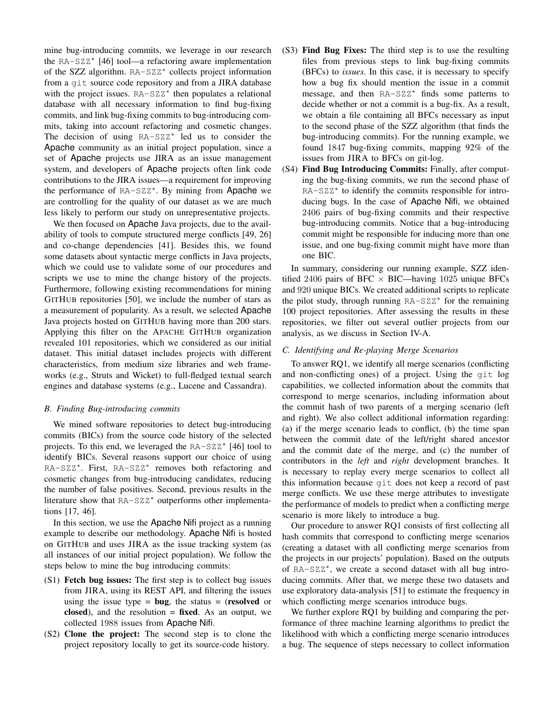mine bug-introducing commits, we leverage in our research the RA-SZZ<sup>∗</sup> [46] tool—a refactoring aware implementation of the SZZ algorithm. RA-SZZ<sup>\*</sup> collects project information from a git source code repository and from a JIRA database with the project issues. RA-SZZ<sup>\*</sup> then populates a relational database with all necessary information to find bug-fixing commits, and link bug-fixing commits to bug-introducing commits, taking into account refactoring and cosmetic changes. The decision of using RA-SZZ<sup>∗</sup> led us to consider the Apache community as an initial project population, since a set of Apache projects use JIRA as an issue management system, and developers of Apache projects often link code contributions to the JIRA issues—a requirement for improving the performance of RA-SZZ<sup>\*</sup>. By mining from Apache we are controlling for the quality of our dataset as we are much less likely to perform our study on unrepresentative projects.

We then focused on Apache Java projects, due to the availability of tools to compute structured merge conflicts [49, 26] and co-change dependencies [41]. Besides this, we found some datasets about syntactic merge conflicts in Java projects, which we could use to validate some of our procedures and scripts we use to mine the change history of the projects. Furthermore, following existing recommendations for mining GITHUB repositories [50], we include the number of stars as a measurement of popularity. As a result, we selected Apache Java projects hosted on GITHUB having more than 200 stars. Applying this filter on the APACHE GITHUB organization revealed 101 repositories, which we considered as our initial dataset. This initial dataset includes projects with different characteristics, from medium size libraries and web frameworks (e.g., Struts and Wicket) to full-fledged textual search engines and database systems (e.g., Lucene and Cassandra).

# *B. Finding Bug-introducing commits*

We mined software repositories to detect bug-introducing commits (BICs) from the source code history of the selected projects. To this end, we leveraged the RA-SZZ<sup>\*</sup> [46] tool to identify BICs. Several reasons support our choice of using RA-SZZ\*. First, RA-SZZ\* removes both refactoring and cosmetic changes from bug-introducing candidates, reducing the number of false positives. Second, previous results in the literature show that RA-SZZ<sup>∗</sup> outperforms other implementations [17, 46].

In this section, we use the Apache Nifi project as a running example to describe our methodology. Apache Nifi is hosted on GITHUB and uses JIRA as the issue tracking system (as all instances of our initial project population). We follow the steps below to mine the bug introducing commits:

- (S1) Fetch bug issues: The first step is to collect bug issues from JIRA, using its REST API, and filtering the issues using the issue type =  $bug$ , the status = (resolved or closed), and the resolution  $=$  fixed. As an output, we collected 1988 issues from Apache Nifi.
- (S2) Clone the project: The second step is to clone the project repository locally to get its source-code history.
- (S3) Find Bug Fixes: The third step is to use the resulting files from previous steps to link bug-fixing commits (BFCs) to *issues*. In this case, it is necessary to specify how a bug fix should mention the issue in a commit message, and then RA-SZZ<sup>∗</sup> finds some patterns to decide whether or not a commit is a bug-fix. As a result, we obtain a file containing all BFCs necessary as input to the second phase of the SZZ algorithm (that finds the bug-introducing commits). For the running example, we found 1847 bug-fixing commits, mapping 92% of the issues from JIRA to BFCs on git-log.
- (S4) Find Bug Introducing Commits: Finally, after computing the bug-fixing commits, we run the second phase of RA-SZZ<sup>\*</sup> to identify the commits responsible for introducing bugs. In the case of Apache Nifi, we obtained 2406 pairs of bug-fixing commits and their respective bug-introducing commits. Notice that a bug-introducing commit might be responsible for inducing more than one issue, and one bug-fixing commit might have more than one BIC.

In summary, considering our running example, SZZ identified 2406 pairs of BFC  $\times$  BIC—having 1025 unique BFCs and 920 unique BICs. We created additional scripts to replicate the pilot study, through running RA-SZZ<sup>\*</sup> for the remaining 100 project repositories. After assessing the results in these repositories, we filter out several outlier projects from our analysis, as we discuss in Section IV-A.

#### *C. Identifying and Re-playing Merge Scenarios*

To answer RQ1, we identify all merge scenarios (conflicting and non-conflicting ones) of a project. Using the git log capabilities, we collected information about the commits that correspond to merge scenarios, including information about the commit hash of two parents of a merging scenario (left and right). We also collect additional information regarding: (a) if the merge scenario leads to conflict, (b) the time span between the commit date of the left/right shared ancestor and the commit date of the merge, and (c) the number of contributors in the *left* and *right* development branches. It is necessary to replay every merge scenarios to collect all this information because git does not keep a record of past merge conflicts. We use these merge attributes to investigate the performance of models to predict when a conflicting merge scenario is more likely to introduce a bug.

Our procedure to answer RQ1 consists of first collecting all hash commits that correspond to conflicting merge scenarios (creating a dataset with all conflicting merge scenarios from the projects in our projects' population). Based on the outputs of RA-SZZ\*, we create a second dataset with all bug introducing commits. After that, we merge these two datasets and use exploratory data-analysis [51] to estimate the frequency in which conflicting merge scenarios introduce bugs.

We further explore RQ1 by building and comparing the performance of three machine learning algorithms to predict the likelihood with which a conflicting merge scenario introduces a bug. The sequence of steps necessary to collect information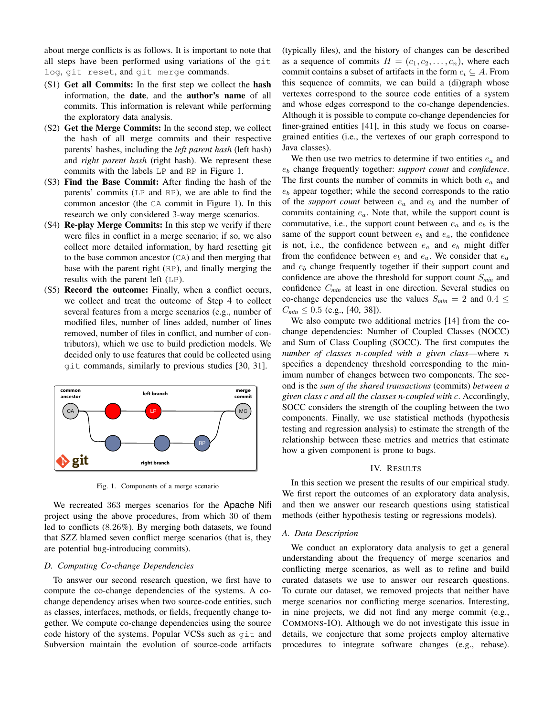about merge conflicts is as follows. It is important to note that all steps have been performed using variations of the git log, git reset, and git merge commands.

- (S1) Get all Commits: In the first step we collect the hash information, the date, and the author's name of all commits. This information is relevant while performing the exploratory data analysis.
- (S2) Get the Merge Commits: In the second step, we collect the hash of all merge commits and their respective parents' hashes, including the *left parent hash* (left hash) and *right parent hash* (right hash). We represent these commits with the labels LP and RP in Figure 1.
- (S3) Find the Base Commit: After finding the hash of the parents' commits (LP and RP), we are able to find the common ancestor (the CA commit in Figure 1). In this research we only considered 3-way merge scenarios.
- (S4) Re-play Merge Commits: In this step we verify if there were files in conflict in a merge scenario; if so, we also collect more detailed information, by hard resetting git to the base common ancestor (CA) and then merging that base with the parent right (RP), and finally merging the results with the parent left (LP).
- (S5) Record the outcome: Finally, when a conflict occurs, we collect and treat the outcome of Step 4 to collect several features from a merge scenarios (e.g., number of modified files, number of lines added, number of lines removed, number of files in conflict, and number of contributors), which we use to build prediction models. We decided only to use features that could be collected using git commands, similarly to previous studies [30, 31].



Fig. 1. Components of a merge scenario

We recreated 363 merges scenarios for the Apache Nifi project using the above procedures, from which 30 of them led to conflicts (8.26%). By merging both datasets, we found that SZZ blamed seven conflict merge scenarios (that is, they are potential bug-introducing commits).

## *D. Computing Co-change Dependencies*

To answer our second research question, we first have to compute the co-change dependencies of the systems. A cochange dependency arises when two source-code entities, such as classes, interfaces, methods, or fields, frequently change together. We compute co-change dependencies using the source code history of the systems. Popular VCSs such as git and Subversion maintain the evolution of source-code artifacts (typically files), and the history of changes can be described as a sequence of commits  $H = (c_1, c_2, \ldots, c_n)$ , where each commit contains a subset of artifacts in the form  $c_i \subseteq A$ . From this sequence of commits, we can build a (di)graph whose vertexes correspond to the source code entities of a system and whose edges correspond to the co-change dependencies. Although it is possible to compute co-change dependencies for finer-grained entities [41], in this study we focus on coarsegrained entities (i.e., the vertexes of our graph correspond to Java classes).

We then use two metrics to determine if two entities  $e_a$  and e<sup>b</sup> change frequently together: *support count* and *confidence*. The first counts the number of commits in which both  $e_a$  and  $e<sub>b</sub>$  appear together; while the second corresponds to the ratio of the *support count* between  $e_a$  and  $e_b$  and the number of commits containing  $e_a$ . Note that, while the support count is commutative, i.e., the support count between  $e_a$  and  $e_b$  is the same of the support count between  $e_b$  and  $e_a$ , the confidence is not, i.e., the confidence between  $e_a$  and  $e_b$  might differ from the confidence between  $e_b$  and  $e_a$ . We consider that  $e_a$ and  $e<sub>b</sub>$  change frequently together if their support count and confidence are above the threshold for support count S*min* and confidence C*min* at least in one direction. Several studies on co-change dependencies use the values  $S_{min} = 2$  and  $0.4 \leq$  $C_{min} \leq 0.5$  (e.g., [40, 38]).

We also compute two additional metrics [14] from the cochange dependencies: Number of Coupled Classes (NOCC) and Sum of Class Coupling (SOCC). The first computes the *number of classes n-coupled with a given class*—where n specifies a dependency threshold corresponding to the minimum number of changes between two components. The second is the *sum of the shared transactions* (commits) *between a given class c and all the classes n-coupled with c*. Accordingly, SOCC considers the strength of the coupling between the two components. Finally, we use statistical methods (hypothesis testing and regression analysis) to estimate the strength of the relationship between these metrics and metrics that estimate how a given component is prone to bugs.

#### IV. RESULTS

In this section we present the results of our empirical study. We first report the outcomes of an exploratory data analysis, and then we answer our research questions using statistical methods (either hypothesis testing or regressions models).

#### *A. Data Description*

We conduct an exploratory data analysis to get a general understanding about the frequency of merge scenarios and conflicting merge scenarios, as well as to refine and build curated datasets we use to answer our research questions. To curate our dataset, we removed projects that neither have merge scenarios nor conflicting merge scenarios. Interesting, in nine projects, we did not find any merge commit (e.g., COMMONS-IO). Although we do not investigate this issue in details, we conjecture that some projects employ alternative procedures to integrate software changes (e.g., rebase).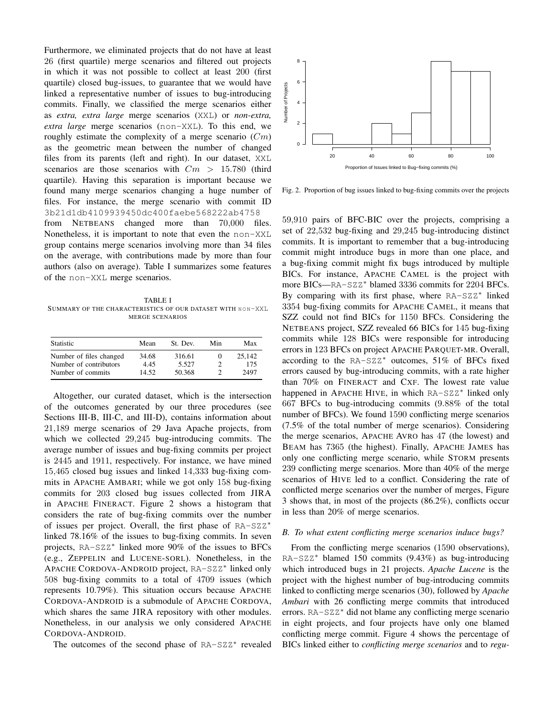Furthermore, we eliminated projects that do not have at least 26 (first quartile) merge scenarios and filtered out projects in which it was not possible to collect at least 200 (first quartile) closed bug-issues, to guarantee that we would have linked a representative number of issues to bug-introducing commits. Finally, we classified the merge scenarios either as *extra, extra large* merge scenarios (XXL) or *non-extra, extra large* merge scenarios (non-XXL). To this end, we roughly estimate the complexity of a merge scenario  $(Cm)$ as the geometric mean between the number of changed files from its parents (left and right). In our dataset, XXL scenarios are those scenarios with  $Cm > 15.780$  (third quartile). Having this separation is important because we found many merge scenarios changing a huge number of files. For instance, the merge scenario with commit ID 3b21d1db4109939450dc400faebe568222ab4758

from NETBEANS changed more than 70,000 files. Nonetheless, it is important to note that even the non-XXL group contains merge scenarios involving more than 34 files on the average, with contributions made by more than four authors (also on average). Table I summarizes some features of the non-XXL merge scenarios.

TABLE I SUMMARY OF THE CHARACTERISTICS OF OUR DATASET WITH NON-XXL MERGE SCENARIOS

| <b>Statistic</b>        | Mean  | St. Dev. | Min | Max    |
|-------------------------|-------|----------|-----|--------|
| Number of files changed | 34.68 | 316.61   | O   | 25.142 |
| Number of contributors  | 4.45  | 5.527    |     | 175    |
| Number of commits       | 14.52 | 50.368   |     | 2497   |

Altogether, our curated dataset, which is the intersection of the outcomes generated by our three procedures (see Sections III-B, III-C, and III-D), contains information about 21,189 merge scenarios of 29 Java Apache projects, from which we collected 29,245 bug-introducing commits. The average number of issues and bug-fixing commits per project is 2445 and 1911, respectively. For instance, we have mined 15,465 closed bug issues and linked 14,333 bug-fixing commits in APACHE AMBARI; while we got only 158 bug-fixing commits for 203 closed bug issues collected from JIRA in APACHE FINERACT. Figure 2 shows a histogram that considers the rate of bug-fixing commits over the number of issues per project. Overall, the first phase of RA-SZZ<sup>∗</sup> linked 78.16% of the issues to bug-fixing commits. In seven projects, RA-SZZ<sup>∗</sup> linked more 90% of the issues to BFCs (e.g., ZEPPELIN and LUCENE-SORL). Nonetheless, in the APACHE CORDOVA-ANDROID project, RA-SZZ<sup>∗</sup> linked only 508 bug-fixing commits to a total of 4709 issues (which represents 10.79%). This situation occurs because APACHE CORDOVA-ANDROID is a submodule of APACHE CORDOVA, which shares the same JIRA repository with other modules. Nonetheless, in our analysis we only considered APACHE CORDOVA-ANDROID.

The outcomes of the second phase of RA-SZZ<sup>\*</sup> revealed



Fig. 2. Proportion of bug issues linked to bug-fixing commits over the projects

59,910 pairs of BFC-BIC over the projects, comprising a set of 22,532 bug-fixing and 29,245 bug-introducing distinct commits. It is important to remember that a bug-introducing commit might introduce bugs in more than one place, and a bug-fixing commit might fix bugs introduced by multiple BICs. For instance, APACHE CAMEL is the project with more BICs—RA-SZZ<sup>∗</sup> blamed 3336 commits for 2204 BFCs. By comparing with its first phase, where RA-SZZ<sup>\*</sup> linked 3354 bug-fixing commits for APACHE CAMEL, it means that SZZ could not find BICs for 1150 BFCs. Considering the NETBEANS project, SZZ revealed 66 BICs for 145 bug-fixing commits while 128 BICs were responsible for introducing errors in 123 BFCs on project APACHE PARQUET-MR. Overall, according to the RA-SZZ<sup>∗</sup> outcomes, 51% of BFCs fixed errors caused by bug-introducing commits, with a rate higher than 70% on FINERACT and CXF. The lowest rate value happened in APACHE HIVE, in which RA-SZZ<sup>\*</sup> linked only 667 BFCs to bug-introducing commits (9.88% of the total number of BFCs). We found 1590 conflicting merge scenarios (7.5% of the total number of merge scenarios). Considering the merge scenarios, APACHE AVRO has 47 (the lowest) and BEAM has 7365 (the highest). Finally, APACHE JAMES has only one conflicting merge scenario, while STORM presents 239 conflicting merge scenarios. More than 40% of the merge scenarios of HIVE led to a conflict. Considering the rate of conflicted merge scenarios over the number of merges, Figure 3 shows that, in most of the projects (86.2%), conflicts occur in less than 20% of merge scenarios.

# *B. To what extent conflicting merge scenarios induce bugs?*

From the conflicting merge scenarios (1590 observations), RA-SZZ<sup>∗</sup> blamed 150 commits (9.43%) as bug-introducing which introduced bugs in 21 projects. *Apache Lucene* is the project with the highest number of bug-introducing commits linked to conflicting merge scenarios (30), followed by *Apache Ambari* with 26 conflicting merge commits that introduced errors. RA-SZZ<sup>\*</sup> did not blame any conflicting merge scenario in eight projects, and four projects have only one blamed conflicting merge commit. Figure 4 shows the percentage of BICs linked either to *conflicting merge scenarios* and to *regu-*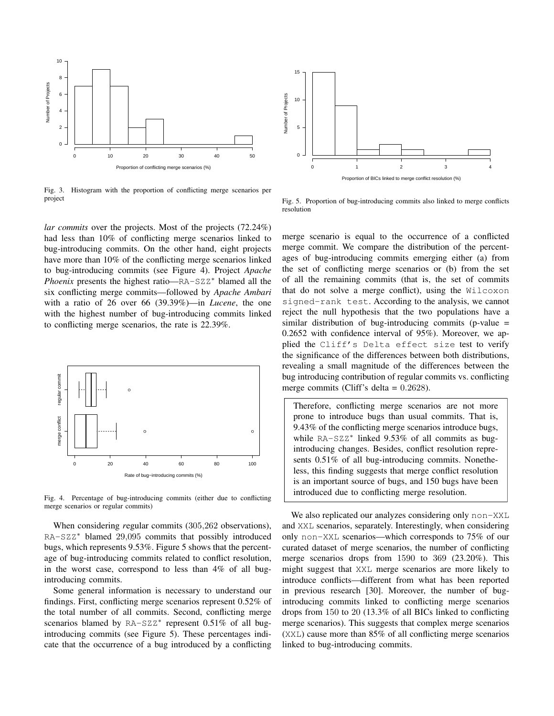

Fig. 3. Histogram with the proportion of conflicting merge scenarios per project

*lar commits* over the projects. Most of the projects (72.24%) had less than 10% of conflicting merge scenarios linked to bug-introducing commits. On the other hand, eight projects have more than 10% of the conflicting merge scenarios linked to bug-introducing commits (see Figure 4). Project *Apache Phoenix* presents the highest ratio—RA-SZZ<sup>\*</sup> blamed all the six conflicting merge commits—followed by *Apache Ambari* with a ratio of 26 over 66 (39.39%)—in *Lucene*, the one with the highest number of bug-introducing commits linked to conflicting merge scenarios, the rate is 22.39%.



Fig. 4. Percentage of bug-introducing commits (either due to conflicting merge scenarios or regular commits)

When considering *r*egular commits (305,262 observations), RA-SZZ<sup>∗</sup> blamed 29,095 commits that possibly introduced bugs, which represents 9.53%. Figure 5 shows that the percentage of bug-introducing commits related to conflict resolution, in the worst case, correspond to less than 4% of all bugintroducing commits.

Some general information is necessary to understand our findings. First, conflicting merge scenarios represent 0.52% of the total number of all commits. Second, conflicting merge scenarios blamed by RA-SZZ<sup>\*</sup> represent 0.51% of all bugintroducing commits (see Figure 5). These percentages indicate that the occurrence of a bug introduced by a conflicting



Fig. 5. Proportion of bug-introducing commits also linked to merge conflicts resolution

merge scenario is equal to the occurrence of a conflicted merge commit. We compare the distribution of the percentages of bug-introducing commits emerging either (a) from the set of conflicting merge scenarios or (b) from the set of all the remaining commits (that is, the set of commits that do not solve a merge conflict), using the Wilcoxon signed-rank test. According to the analysis, we cannot reject the null hypothesis that the two populations have a similar distribution of bug-introducing commits (p-value  $=$ 0.2652 with confidence interval of 95%). Moreover, we applied the Cliff's Delta effect size test to verify the significance of the differences between both distributions, revealing a small magnitude of the differences between the bug introducing contribution of regular commits vs. conflicting merge commits (Cliff's delta = 0.2628).

Therefore, conflicting merge scenarios are not more prone to introduce bugs than usual commits. That is, 9.43% of the conflicting merge scenarios introduce bugs, while RA-SZZ\* linked 9.53% of all commits as bugintroducing changes. Besides, conflict resolution represents 0.51% of all bug-introducing commits. Nonetheless, this finding suggests that merge conflict resolution is an important source of bugs, and 150 bugs have been introduced due to conflicting merge resolution.

We also replicated our analyzes considering only non-XXL and XXL scenarios, separately. Interestingly, when considering only non-XXL scenarios—which corresponds to 75% of our curated dataset of merge scenarios, the number of conflicting merge scenarios drops from 1590 to 369 (23.20%). This might suggest that XXL merge scenarios are more likely to introduce conflicts—different from what has been reported in previous research [30]. Moreover, the number of bugintroducing commits linked to conflicting merge scenarios drops from 150 to 20 (13.3% of all BICs linked to conflicting merge scenarios). This suggests that complex merge scenarios (XXL) cause more than 85% of all conflicting merge scenarios linked to bug-introducing commits.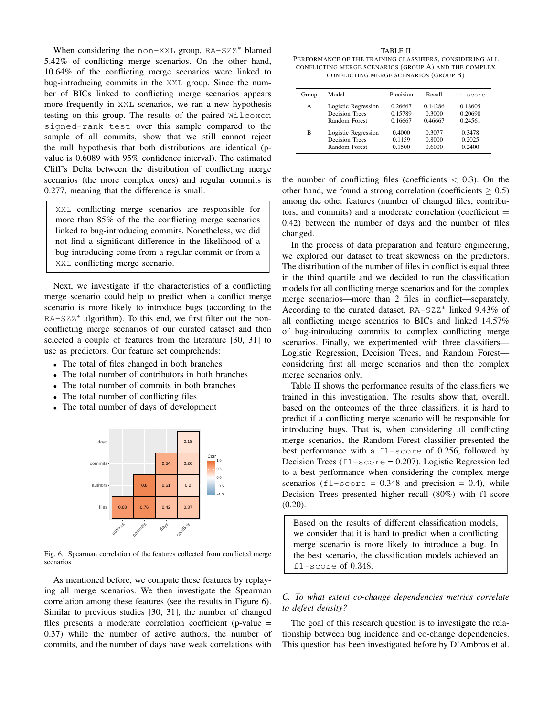When considering the non-XXL group, RA-SZZ<sup>\*</sup> blamed 5.42% of conflicting merge scenarios. On the other hand, 10.64% of the conflicting merge scenarios were linked to bug-introducing commits in the XXL group. Since the number of BICs linked to conflicting merge scenarios appears more frequently in XXL scenarios, we ran a new hypothesis testing on this group. The results of the paired Wilcoxon signed-rank test over this sample compared to the sample of all commits, show that we still cannot reject the null hypothesis that both distributions are identical (pvalue is 0.6089 with 95% confidence interval). The estimated Cliff's Delta between the distribution of conflicting merge scenarios (the more complex ones) and regular commits is 0.277, meaning that the difference is small.

XXL conflicting merge scenarios are responsible for more than 85% of the the conflicting merge scenarios linked to bug-introducing commits. Nonetheless, we did not find a significant difference in the likelihood of a bug-introducing come from a regular commit or from a XXL conflicting merge scenario.

Next, we investigate if the characteristics of a conflicting merge scenario could help to predict when a conflict merge scenario is more likely to introduce bugs (according to the RA-SZZ<sup>\*</sup> algorithm). To this end, we first filter out the nonconflicting merge scenarios of our curated dataset and then selected a couple of features from the literature [30, 31] to use as predictors. Our feature set comprehends:

- The total of files changed in both branches
- The total number of contributors in both branches
- The total number of commits in both branches
- The total number of conflicting files
- The total number of days of development



Fig. 6. Spearman correlation of the features collected from conflicted merge scenarios

As mentioned before, we compute these features by replaying all merge scenarios. We then investigate the Spearman correlation among these features (see the results in Figure 6). Similar to previous studies [30, 31], the number of changed files presents a moderate correlation coefficient (p-value = 0.37) while the number of active authors, the number of commits, and the number of days have weak correlations with

#### TABLE II

PERFORMANCE OF THE TRAINING CLASSIFIERS, CONSIDERING ALL CONFLICTING MERGE SCENARIOS (GROUP A) AND THE COMPLEX CONFLICTING MERGE SCENARIOS (GROUP B)

| Group | Model               | Precision | Recall  | f1-score |
|-------|---------------------|-----------|---------|----------|
| A     | Logistic Regression | 0.26667   | 0.14286 | 0.18605  |
|       | Decision Trees      | 0.15789   | 0.3000  | 0.20690  |
|       | Random Forest       | 0.16667   | 0.46667 | 0.24561  |
| в     | Logistic Regression | 0.4000    | 0.3077  | 0.3478   |
|       | Decision Trees      | 0.1159    | 0.8000  | 0.2025   |
|       | Random Forest       | 0.1500    | 0.6000  | 0.2400   |

the number of conflicting files (coefficients  $< 0.3$ ). On the other hand, we found a strong correlation (coefficients  $> 0.5$ ) among the other features (number of changed files, contributors, and commits) and a moderate correlation (coefficient  $=$ 0.42) between the number of days and the number of files changed.

In the process of data preparation and feature engineering, we explored our dataset to treat skewness on the predictors. The distribution of the number of files in conflict is equal three in the third quartile and we decided to run the classification models for all conflicting merge scenarios and for the complex merge scenarios—more than 2 files in conflict—separately. According to the curated dataset, RA-SZZ<sup>\*</sup> linked 9.43% of all conflicting merge scenarios to BICs and linked 14.57% of bug-introducing commits to complex conflicting merge scenarios. Finally, we experimented with three classifiers— Logistic Regression, Decision Trees, and Random Forest considering first all merge scenarios and then the complex merge scenarios only.

Table II shows the performance results of the classifiers we trained in this investigation. The results show that, overall, based on the outcomes of the three classifiers, it is hard to predict if a conflicting merge scenario will be responsible for introducing bugs. That is, when considering all conflicting merge scenarios, the Random Forest classifier presented the best performance with a f1-score of 0.256, followed by Decision Trees ( $f1$ -score = 0.207). Logistic Regression led to a best performance when considering the complex merge scenarios  $(f1-score = 0.348$  and precision = 0.4), while Decision Trees presented higher recall (80%) with f1-score (0.20).

Based on the results of different classification models, we consider that it is hard to predict when a conflicting merge scenario is more likely to introduce a bug. In the best scenario, the classification models achieved an f1-score of 0.348.

# *C. To what extent co-change dependencies metrics correlate to defect density?*

The goal of this research question is to investigate the relationship between bug incidence and co-change dependencies. This question has been investigated before by D'Ambros et al.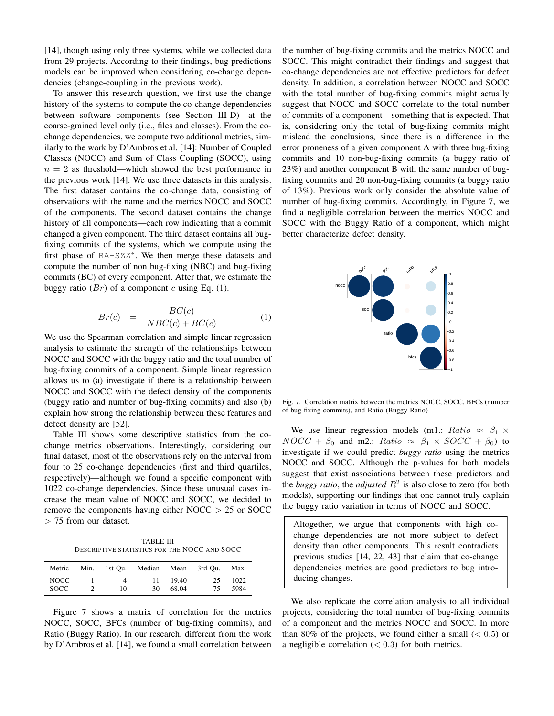[14], though using only three systems, while we collected data from 29 projects. According to their findings, bug predictions models can be improved when considering co-change dependencies (change-coupling in the previous work).

To answer this research question, we first use the change history of the systems to compute the co-change dependencies between software components (see Section III-D)—at the coarse-grained level only (i.e., files and classes). From the cochange dependencies, we compute two additional metrics, similarly to the work by D'Ambros et al. [14]: Number of Coupled Classes (NOCC) and Sum of Class Coupling (SOCC), using  $n = 2$  as threshold—which showed the best performance in the previous work [14]. We use three datasets in this analysis. The first dataset contains the co-change data, consisting of observations with the name and the metrics NOCC and SOCC of the components. The second dataset contains the change history of all components—each row indicating that a commit changed a given component. The third dataset contains all bugfixing commits of the systems, which we compute using the first phase of RA-SZZ<sup>\*</sup>. We then merge these datasets and compute the number of non bug-fixing (NBC) and bug-fixing commits (BC) of every component. After that, we estimate the buggy ratio  $(Br)$  of a component c using Eq. (1).

$$
Br(c) = \frac{BC(c)}{NBC(c) + BC(c)} \tag{1}
$$

We use the Spearman correlation and simple linear regression analysis to estimate the strength of the relationships between NOCC and SOCC with the buggy ratio and the total number of bug-fixing commits of a component. Simple linear regression allows us to (a) investigate if there is a relationship between NOCC and SOCC with the defect density of the components (buggy ratio and number of bug-fixing commits) and also (b) explain how strong the relationship between these features and defect density are [52].

Table III shows some descriptive statistics from the cochange metrics observations. Interestingly, considering our final dataset, most of the observations rely on the interval from four to 25 co-change dependencies (first and third quartiles, respectively)—although we found a specific component with 1022 co-change dependencies. Since these unusual cases increase the mean value of NOCC and SOCC, we decided to remove the components having either  $NOCC > 25$  or  $SOCC$ > 75 from our dataset.

TABLE III DESCRIPTIVE STATISTICS FOR THE NOCC AND SOCC

| Metric               |               |         | Min. 1st Ou. Median Mean 3rd Ou. |                   |           | Max.         |
|----------------------|---------------|---------|----------------------------------|-------------------|-----------|--------------|
| NOCC.<br><b>SOCC</b> | $\mathcal{D}$ | 4<br>10 | 30.                              | 11 19.40<br>68.04 | 25.<br>75 | 1022<br>5984 |

Figure 7 shows a matrix of correlation for the metrics NOCC, SOCC, BFCs (number of bug-fixing commits), and Ratio (Buggy Ratio). In our research, different from the work by D'Ambros et al. [14], we found a small correlation between the number of bug-fixing commits and the metrics NOCC and SOCC. This might contradict their findings and suggest that co-change dependencies are not effective predictors for defect density. In addition, a correlation between NOCC and SOCC with the total number of bug-fixing commits might actually suggest that NOCC and SOCC correlate to the total number of commits of a component—something that is expected. That is, considering only the total of bug-fixing commits might mislead the conclusions, since there is a difference in the error proneness of a given component A with three bug-fixing commits and 10 non-bug-fixing commits (a buggy ratio of 23%) and another component B with the same number of bugfixing commits and 20 non-bug-fixing commits (a buggy ratio of 13%). Previous work only consider the absolute value of number of bug-fixing commits. Accordingly, in Figure 7, we find a negligible correlation between the metrics NOCC and SOCC with the Buggy Ratio of a component, which might better characterize defect density.



Fig. 7. Correlation matrix between the metrics NOCC, SOCC, BFCs (number of bug-fixing commits), and Ratio (Buggy Ratio)

We use linear regression models (m1.: Ratio  $\approx \beta_1 \times$  $NOCC + \beta_0$  and m2.: Ratio  $\approx \beta_1 \times SOCC + \beta_0$  to investigate if we could predict *buggy ratio* using the metrics NOCC and SOCC. Although the p-values for both models suggest that exist associations between these predictors and the *buggy ratio*, the *adjusted*  $R^2$  is also close to zero (for both models), supporting our findings that one cannot truly explain the buggy ratio variation in terms of NOCC and SOCC.

Altogether, we argue that components with high cochange dependencies are not more subject to defect density than other components. This result contradicts previous studies [14, 22, 43] that claim that co-change dependencies metrics are good predictors to bug introducing changes.

We also replicate the correlation analysis to all individual projects, considering the total number of bug-fixing commits of a component and the metrics NOCC and SOCC. In more than 80% of the projects, we found either a small  $(< 0.5)$  or a negligible correlation  $( $0.3$ )$  for both metrics.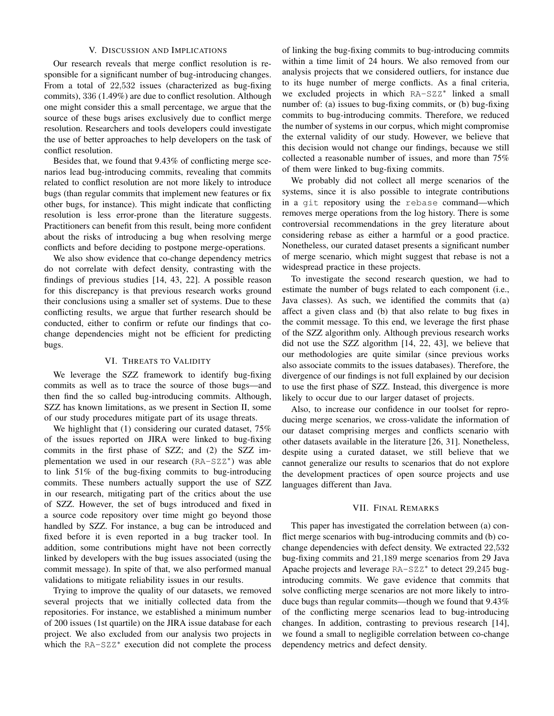## V. DISCUSSION AND IMPLICATIONS

Our research reveals that merge conflict resolution is responsible for a significant number of bug-introducing changes. From a total of 22,532 issues (characterized as bug-fixing commits), 336 (1.49%) are due to conflict resolution. Although one might consider this a small percentage, we argue that the source of these bugs arises exclusively due to conflict merge resolution. Researchers and tools developers could investigate the use of better approaches to help developers on the task of conflict resolution.

Besides that, we found that 9.43% of conflicting merge scenarios lead bug-introducing commits, revealing that commits related to conflict resolution are not more likely to introduce bugs (than regular commits that implement new features or fix other bugs, for instance). This might indicate that conflicting resolution is less error-prone than the literature suggests. Practitioners can benefit from this result, being more confident about the risks of introducing a bug when resolving merge conflicts and before deciding to postpone merge-operations.

We also show evidence that co-change dependency metrics do not correlate with defect density, contrasting with the findings of previous studies [14, 43, 22]. A possible reason for this discrepancy is that previous research works ground their conclusions using a smaller set of systems. Due to these conflicting results, we argue that further research should be conducted, either to confirm or refute our findings that cochange dependencies might not be efficient for predicting bugs.

## VI. THREATS TO VALIDITY

We leverage the SZZ framework to identify bug-fixing commits as well as to trace the source of those bugs—and then find the so called bug-introducing commits. Although, SZZ has known limitations, as we present in Section II, some of our study procedures mitigate part of its usage threats.

We highlight that (1) considering our curated dataset,  $75\%$ of the issues reported on JIRA were linked to bug-fixing commits in the first phase of SZZ; and (2) the SZZ implementation we used in our research (RA-SZZ<sup>\*</sup>) was able to link 51% of the bug-fixing commits to bug-introducing commits. These numbers actually support the use of SZZ in our research, mitigating part of the critics about the use of SZZ. However, the set of bugs introduced and fixed in a source code repository over time might go beyond those handled by SZZ. For instance, a bug can be introduced and fixed before it is even reported in a bug tracker tool. In addition, some contributions might have not been correctly linked by developers with the bug issues associated (using the commit message). In spite of that, we also performed manual validations to mitigate reliability issues in our results.

Trying to improve the quality of our datasets, we removed several projects that we initially collected data from the repositories. For instance, we established a minimum number of 200 issues (1st quartile) on the JIRA issue database for each project. We also excluded from our analysis two projects in which the RA-SZZ<sup>\*</sup> execution did not complete the process

of linking the bug-fixing commits to bug-introducing commits within a time limit of 24 hours. We also removed from our analysis projects that we considered outliers, for instance due to its huge number of merge conflicts. As a final criteria, we excluded projects in which RA-SZZ<sup>\*</sup> linked a small number of: (a) issues to bug-fixing commits, or (b) bug-fixing commits to bug-introducing commits. Therefore, we reduced the number of systems in our corpus, which might compromise the external validity of our study. However, we believe that this decision would not change our findings, because we still collected a reasonable number of issues, and more than 75% of them were linked to bug-fixing commits.

We probably did not collect all merge scenarios of the systems, since it is also possible to integrate contributions in a git repository using the rebase command—which removes merge operations from the log history. There is some controversial recommendations in the grey literature about considering rebase as either a harmful or a good practice. Nonetheless, our curated dataset presents a significant number of merge scenario, which might suggest that rebase is not a widespread practice in these projects.

To investigate the second research question, we had to estimate the number of bugs related to each component (i.e., Java classes). As such, we identified the commits that (a) affect a given class and (b) that also relate to bug fixes in the commit message. To this end, we leverage the first phase of the SZZ algorithm only. Although previous research works did not use the SZZ algorithm [14, 22, 43], we believe that our methodologies are quite similar (since previous works also associate commits to the issues databases). Therefore, the divergence of our findings is not full explained by our decision to use the first phase of SZZ. Instead, this divergence is more likely to occur due to our larger dataset of projects.

Also, to increase our confidence in our toolset for reproducing merge scenarios, we cross-validate the information of our dataset comprising merges and conflicts scenario with other datasets available in the literature [26, 31]. Nonetheless, despite using a curated dataset, we still believe that we cannot generalize our results to scenarios that do not explore the development practices of open source projects and use languages different than Java.

## VII. FINAL REMARKS

This paper has investigated the correlation between (a) conflict merge scenarios with bug-introducing commits and (b) cochange dependencies with defect density. We extracted 22,532 bug-fixing commits and 21,189 merge scenarios from 29 Java Apache projects and leverage RA-SZZ<sup>\*</sup> to detect 29,245 bugintroducing commits. We gave evidence that commits that solve conflicting merge scenarios are not more likely to introduce bugs than regular commits—though we found that 9.43% of the conflicting merge scenarios lead to bug-introducing changes. In addition, contrasting to previous research [14], we found a small to negligible correlation between co-change dependency metrics and defect density.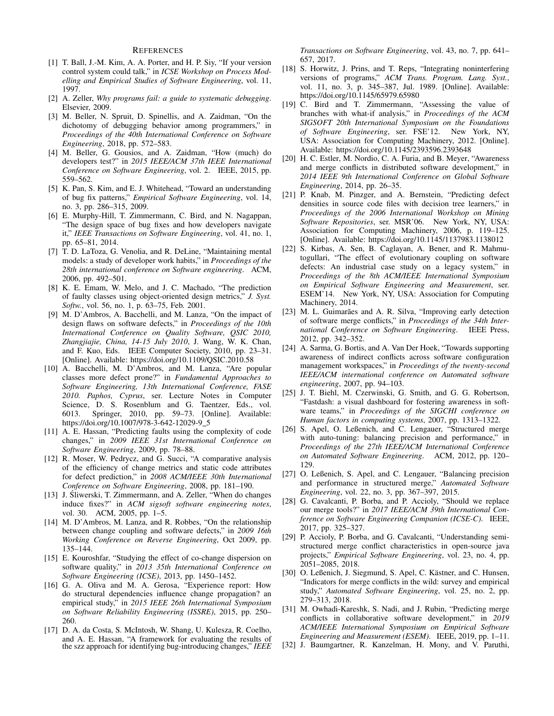#### **REFERENCES**

- [1] T. Ball, J.-M. Kim, A. A. Porter, and H. P. Siy, "If your version control system could talk," in *ICSE Workshop on Process Modelling and Empirical Studies of Software Engineering*, vol. 11, 1997.
- [2] A. Zeller, *Why programs fail: a guide to systematic debugging*. Elsevier, 2009.
- [3] M. Beller, N. Spruit, D. Spinellis, and A. Zaidman, "On the dichotomy of debugging behavior among programmers," in *Proceedings of the 40th International Conference on Software Engineering*, 2018, pp. 572–583.
- [4] M. Beller, G. Gousios, and A. Zaidman, "How (much) do developers test?" in *2015 IEEE/ACM 37th IEEE International Conference on Software Engineering*, vol. 2. IEEE, 2015, pp. 559–562.
- [5] K. Pan, S. Kim, and E. J. Whitehead, "Toward an understanding of bug fix patterns," *Empirical Software Engineering*, vol. 14, no. 3, pp. 286–315, 2009.
- [6] E. Murphy-Hill, T. Zimmermann, C. Bird, and N. Nagappan, "The design space of bug fixes and how developers navigate it," *IEEE Transactions on Software Engineering*, vol. 41, no. 1, pp. 65–81, 2014.
- [7] T. D. LaToza, G. Venolia, and R. DeLine, "Maintaining mental models: a study of developer work habits," in *Proceedings of the 28th international conference on Software engineering*. ACM, 2006, pp. 492–501.
- [8] K. E. Emam, W. Melo, and J. C. Machado, "The prediction of faulty classes using object-oriented design metrics," *J. Syst. Softw.*, vol. 56, no. 1, p. 63–75, Feb. 2001.
- [9] M. D'Ambros, A. Bacchelli, and M. Lanza, "On the impact of design flaws on software defects," in *Proceedings of the 10th International Conference on Quality Software, QSIC 2010, Zhangjiajie, China, 14-15 July 2010*, J. Wang, W. K. Chan, and F. Kuo, Eds. IEEE Computer Society, 2010, pp. 23–31. [Online]. Available: https://doi.org/10.1109/QSIC.2010.58
- [10] A. Bacchelli, M. D'Ambros, and M. Lanza, "Are popular classes more defect prone?" in *Fundamental Approaches to Software Engineering, 13th International Conference, FASE 2010. Paphos, Cyprus*, ser. Lecture Notes in Computer Science, D. S. Rosenblum and G. Taentzer, Eds., vol. 6013. Springer, 2010, pp. 59–73. [Online]. Available: https://doi.org/10.1007/978-3-642-12029-9 5
- [11] A. E. Hassan, "Predicting faults using the complexity of code changes," in *2009 IEEE 31st International Conference on Software Engineering*, 2009, pp. 78–88.
- [12] R. Moser, W. Pedrycz, and G. Succi, "A comparative analysis of the efficiency of change metrics and static code attributes for defect prediction," in *2008 ACM/IEEE 30th International Conference on Software Engineering*, 2008, pp. 181–190.
- [13] J. Śliwerski, T. Zimmermann, and A. Zeller, "When do changes induce fixes?" in *ACM sigsoft software engineering notes*, vol. 30. ACM, 2005, pp. 1–5.
- [14] M. D'Ambros, M. Lanza, and R. Robbes, "On the relationship between change coupling and software defects," in *2009 16th Working Conference on Reverse Engineering*, Oct 2009, pp. 135–144.
- [15] E. Kouroshfar, "Studying the effect of co-change dispersion on software quality," in *2013 35th International Conference on Software Engineering (ICSE)*, 2013, pp. 1450–1452.
- [16] G. A. Oliva and M. A. Gerosa, "Experience report: How do structural dependencies influence change propagation? an empirical study," in *2015 IEEE 26th International Symposium on Software Reliability Engineering (ISSRE)*, 2015, pp. 250– 260.
- [17] D. A. da Costa, S. McIntosh, W. Shang, U. Kulesza, R. Coelho, and A. E. Hassan, "A framework for evaluating the results of the szz approach for identifying bug-introducing changes," *IEEE*

*Transactions on Software Engineering*, vol. 43, no. 7, pp. 641– 657, 2017.

- [18] S. Horwitz, J. Prins, and T. Reps, "Integrating noninterfering versions of programs," *ACM Trans. Program. Lang. Syst.*, vol. 11, no. 3, p. 345–387, Jul. 1989. [Online]. Available: https://doi.org/10.1145/65979.65980
- [19] C. Bird and T. Zimmermann, "Assessing the value of branches with what-if analysis," in *Proceedings of the ACM SIGSOFT 20th International Symposium on the Foundations of Software Engineering*, ser. FSE'12. New York, NY, USA: Association for Computing Machinery, 2012. [Online]. Available: https://doi.org/10.1145/2393596.2393648
- [20] H. C. Estler, M. Nordio, C. A. Furia, and B. Meyer, "Awareness and merge conflicts in distributed software development," in *2014 IEEE 9th International Conference on Global Software Engineering*, 2014, pp. 26–35.
- [21] P. Knab, M. Pinzger, and A. Bernstein, "Predicting defect densities in source code files with decision tree learners," in *Proceedings of the 2006 International Workshop on Mining Software Repositories*, ser. MSR'06. New York, NY, USA: Association for Computing Machinery, 2006, p. 119–125. [Online]. Available: https://doi.org/10.1145/1137983.1138012
- [22] S. Kirbas, A. Sen, B. Caglayan, A. Bener, and R. Mahmutogullari, "The effect of evolutionary coupling on software defects: An industrial case study on a legacy system," in *Proceedings of the 8th ACM/IEEE International Symposium on Empirical Software Engineering and Measurement*, ser. ESEM'14. New York, NY, USA: Association for Computing Machinery, 2014.
- [23] M. L. Guimarães and A. R. Silva, "Improving early detection of software merge conflicts," in *Proceedings of the 34th International Conference on Software Engineering*. IEEE Press, 2012, pp. 342–352.
- [24] A. Sarma, G. Bortis, and A. Van Der Hoek, "Towards supporting awareness of indirect conflicts across software configuration management workspaces," in *Proceedings of the twenty-second IEEE/ACM international conference on Automated software engineering*, 2007, pp. 94–103.
- [25] J. T. Biehl, M. Czerwinski, G. Smith, and G. G. Robertson, "Fastdash: a visual dashboard for fostering awareness in software teams," in *Proceedings of the SIGCHI conference on Human factors in computing systems*, 2007, pp. 1313–1322.
- [26] S. Apel, O. Leßenich, and C. Lengauer, "Structured merge with auto-tuning: balancing precision and performance," in *Proceedings of the 27th IEEE/ACM International Conference on Automated Software Engineering*. ACM, 2012, pp. 120– 129.
- [27] O. Leßenich, S. Apel, and C. Lengauer, "Balancing precision and performance in structured merge," *Automated Software Engineering*, vol. 22, no. 3, pp. 367–397, 2015.
- [28] G. Cavalcanti, P. Borba, and P. Accioly, "Should we replace our merge tools?" in *2017 IEEE/ACM 39th International Conference on Software Engineering Companion (ICSE-C)*. IEEE, 2017, pp. 325–327.
- [29] P. Accioly, P. Borba, and G. Cavalcanti, "Understanding semistructured merge conflict characteristics in open-source java projects," *Empirical Software Engineering*, vol. 23, no. 4, pp. 2051–2085, 2018.
- [30] O. Leßenich, J. Siegmund, S. Apel, C. Kästner, and C. Hunsen, "Indicators for merge conflicts in the wild: survey and empirical study," *Automated Software Engineering*, vol. 25, no. 2, pp. 279–313, 2018.
- [31] M. Owhadi-Kareshk, S. Nadi, and J. Rubin, "Predicting merge conflicts in collaborative software development," in *2019 ACM/IEEE International Symposium on Empirical Software Engineering and Measurement (ESEM)*. IEEE, 2019, pp. 1–11.
- [32] J. Baumgartner, R. Kanzelman, H. Mony, and V. Paruthi,